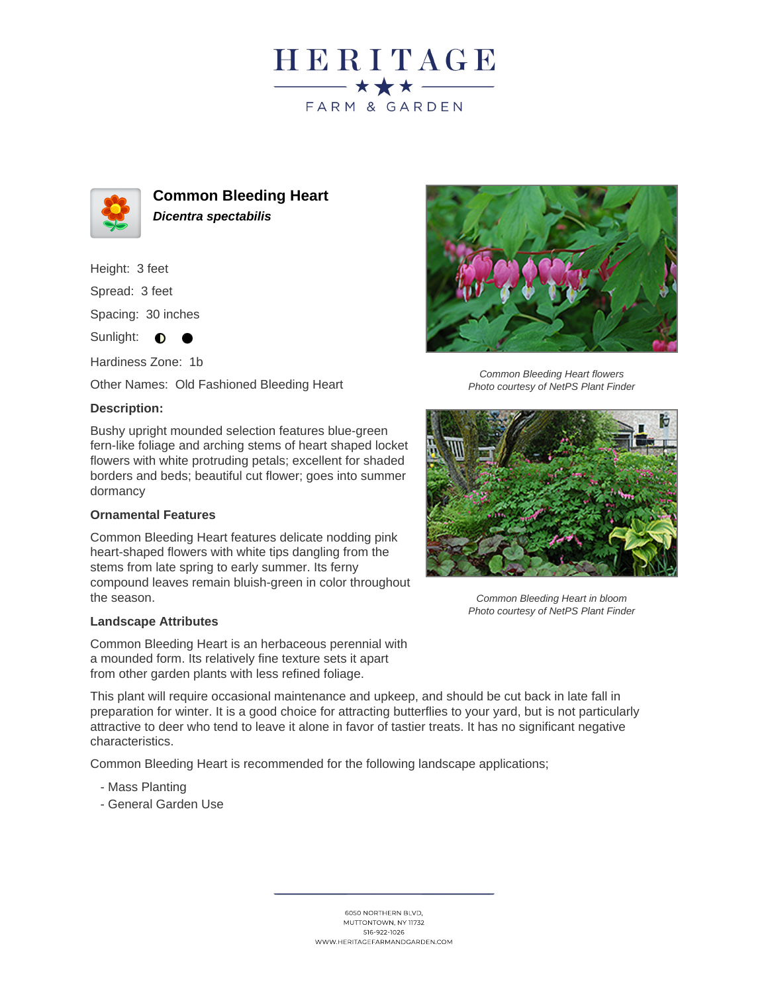



**Common Bleeding Heart Dicentra spectabilis**

Height: 3 feet

Spread: 3 feet

Spacing: 30 inches

Sunlight:  $\bullet$ 

Hardiness Zone: 1b

Other Names: Old Fashioned Bleeding Heart

## **Description:**

Bushy upright mounded selection features blue-green fern-like foliage and arching stems of heart shaped locket flowers with white protruding petals; excellent for shaded borders and beds; beautiful cut flower; goes into summer dormancy

## **Ornamental Features**

Common Bleeding Heart features delicate nodding pink heart-shaped flowers with white tips dangling from the stems from late spring to early summer. Its ferny compound leaves remain bluish-green in color throughout the season.

## **Landscape Attributes**

Common Bleeding Heart is an herbaceous perennial with a mounded form. Its relatively fine texture sets it apart from other garden plants with less refined foliage.

This plant will require occasional maintenance and upkeep, and should be cut back in late fall in preparation for winter. It is a good choice for attracting butterflies to your yard, but is not particularly attractive to deer who tend to leave it alone in favor of tastier treats. It has no significant negative characteristics.

Common Bleeding Heart is recommended for the following landscape applications;

- Mass Planting
- General Garden Use





Photo courtesy of NetPS Plant Finder



Common Bleeding Heart in bloom Photo courtesy of NetPS Plant Finder

516-922-1026 WWW.HERITAGEFARMANDGARDEN.COM